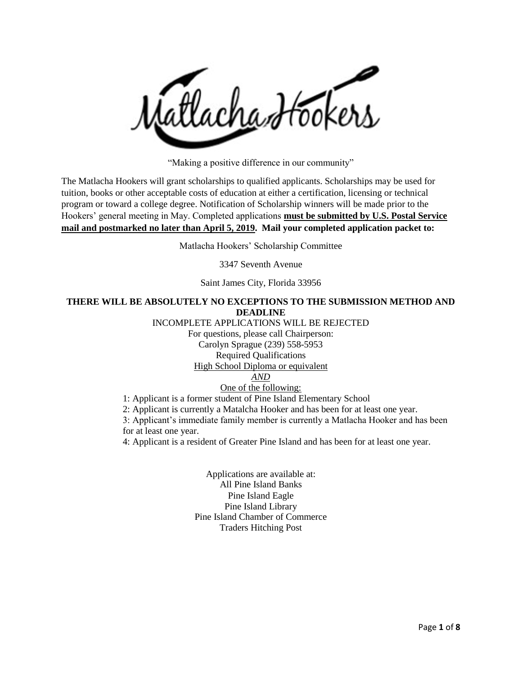Watlacha Hookers

"Making a positive difference in our community"

The Matlacha Hookers will grant scholarships to qualified applicants. Scholarships may be used for tuition, books or other acceptable costs of education at either a certification, licensing or technical program or toward a college degree. Notification of Scholarship winners will be made prior to the Hookers' general meeting in May. Completed applications **must be submitted by U.S. Postal Service mail and postmarked no later than April 5, 2019. Mail your completed application packet to:**

Matlacha Hookers' Scholarship Committee

3347 Seventh Avenue

Saint James City, Florida 33956

## **THERE WILL BE ABSOLUTELY NO EXCEPTIONS TO THE SUBMISSION METHOD AND DEADLINE**

INCOMPLETE APPLICATIONS WILL BE REJECTED For questions, please call Chairperson: Carolyn Sprague (239) 558-5953 Required Qualifications High School Diploma or equivalent *AND* One of the following:

1: Applicant is a former student of Pine Island Elementary School

2: Applicant is currently a Matalcha Hooker and has been for at least one year.

3: Applicant's immediate family member is currently a Matlacha Hooker and has been for at least one year.

4: Applicant is a resident of Greater Pine Island and has been for at least one year.

Applications are available at: All Pine Island Banks Pine Island Eagle Pine Island Library Pine Island Chamber of Commerce Traders Hitching Post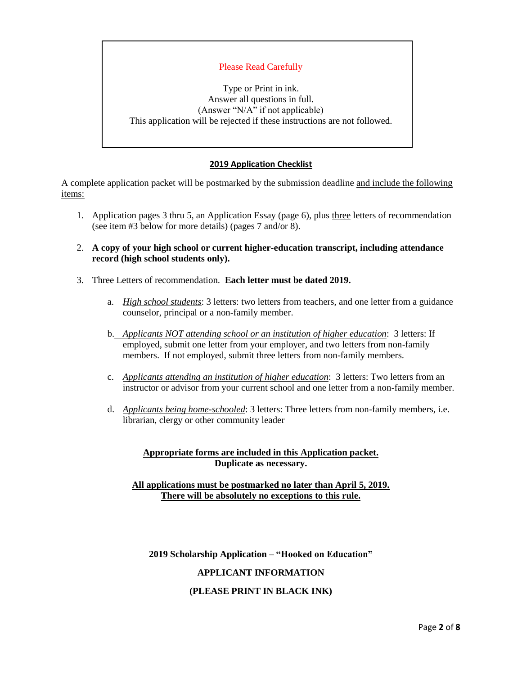## Please Read Carefully

Type or Print in ink. Answer all questions in full. (Answer "N/A" if not applicable) This application will be rejected if these instructions are not followed.

## **2019 Application Checklist**

A complete application packet will be postmarked by the submission deadline and include the following items:

- 1. Application pages 3 thru 5, an Application Essay (page 6), plus three letters of recommendation (see item #3 below for more details) (pages 7 and/or 8).
- 2. **A copy of your high school or current higher-education transcript, including attendance record (high school students only).**
- 3. Three Letters of recommendation. **Each letter must be dated 2019.**
	- a. *High school students*: 3 letters: two letters from teachers, and one letter from a guidance counselor, principal or a non-family member.
	- b. *Applicants NOT attending school or an institution of higher education*: 3 letters: If employed, submit one letter from your employer, and two letters from non-family members. If not employed, submit three letters from non-family members.
	- c. *Applicants attending an institution of higher education*: 3 letters: Two letters from an instructor or advisor from your current school and one letter from a non-family member.
	- d. *Applicants being home-schooled*: 3 letters: Three letters from non-family members, i.e. librarian, clergy or other community leader

### **Appropriate forms are included in this Application packet. Duplicate as necessary.**

## **All applications must be postmarked no later than April 5, 2019. There will be absolutely no exceptions to this rule.**

**2019 Scholarship Application – "Hooked on Education"**

## **APPLICANT INFORMATION**

#### **(PLEASE PRINT IN BLACK INK)**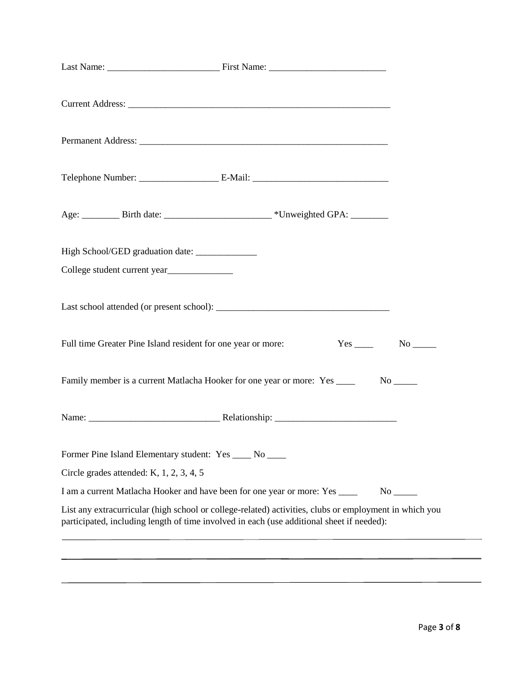| High School/GED graduation date: ____________ |                                                                                                                                                                                                     |              |
|-----------------------------------------------|-----------------------------------------------------------------------------------------------------------------------------------------------------------------------------------------------------|--------------|
|                                               |                                                                                                                                                                                                     |              |
|                                               | Full time Greater Pine Island resident for one year or more:                                                                                                                                        | $Yes$ No $N$ |
|                                               | Family member is a current Matlacha Hooker for one year or more: Yes ____                                                                                                                           |              |
|                                               |                                                                                                                                                                                                     |              |
|                                               | Former Pine Island Elementary student: Yes ____ No ____                                                                                                                                             |              |
| Circle grades attended: K, $1, 2, 3, 4, 5$    |                                                                                                                                                                                                     |              |
|                                               | I am a current Matlacha Hooker and have been for one year or more: Yes ____                                                                                                                         |              |
|                                               | List any extracurricular (high school or college-related) activities, clubs or employment in which you<br>participated, including length of time involved in each (use additional sheet if needed): |              |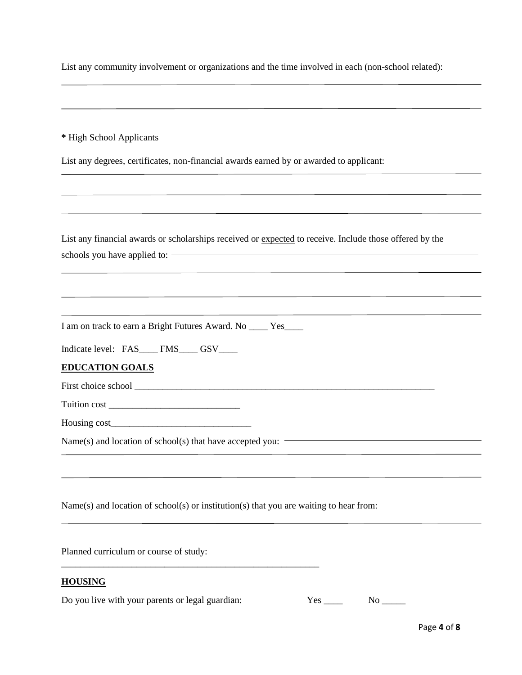| List any community involvement or organizations and the time involved in each (non-school related):     |  |  |  |  |
|---------------------------------------------------------------------------------------------------------|--|--|--|--|
|                                                                                                         |  |  |  |  |
| * High School Applicants                                                                                |  |  |  |  |
|                                                                                                         |  |  |  |  |
| List any degrees, certificates, non-financial awards earned by or awarded to applicant:                 |  |  |  |  |
|                                                                                                         |  |  |  |  |
|                                                                                                         |  |  |  |  |
| List any financial awards or scholarships received or expected to receive. Include those offered by the |  |  |  |  |
|                                                                                                         |  |  |  |  |
|                                                                                                         |  |  |  |  |
|                                                                                                         |  |  |  |  |
| I am on track to earn a Bright Futures Award. No ____ Yes____                                           |  |  |  |  |
| Indicate level: FAS____ FMS____ GSV____                                                                 |  |  |  |  |
| <b>EDUCATION GOALS</b>                                                                                  |  |  |  |  |
|                                                                                                         |  |  |  |  |
|                                                                                                         |  |  |  |  |
|                                                                                                         |  |  |  |  |
| Name(s) and location of school(s) that have accepted you:                                               |  |  |  |  |
|                                                                                                         |  |  |  |  |
|                                                                                                         |  |  |  |  |
| Name(s) and location of school(s) or institution(s) that you are waiting to hear from:                  |  |  |  |  |
| Planned curriculum or course of study:                                                                  |  |  |  |  |
|                                                                                                         |  |  |  |  |
| <b>HOUSING</b>                                                                                          |  |  |  |  |
| Do you live with your parents or legal guardian:                                                        |  |  |  |  |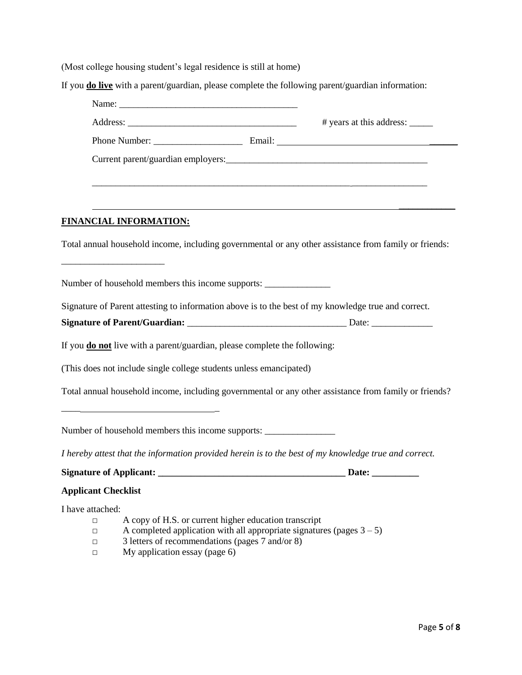(Most college housing student's legal residence is still at home)

If you **do live** with a parent/guardian, please complete the following parent/guardian information:

|                                                          | <b>FINANCIAL INFORMATION:</b>                                                     |                                                                                                                                                                                      |                                                                                                       |  |  |
|----------------------------------------------------------|-----------------------------------------------------------------------------------|--------------------------------------------------------------------------------------------------------------------------------------------------------------------------------------|-------------------------------------------------------------------------------------------------------|--|--|
|                                                          |                                                                                   |                                                                                                                                                                                      | Total annual household income, including governmental or any other assistance from family or friends: |  |  |
|                                                          | Number of household members this income supports: _______________________________ |                                                                                                                                                                                      |                                                                                                       |  |  |
|                                                          |                                                                                   |                                                                                                                                                                                      | Signature of Parent attesting to information above is to the best of my knowledge true and correct.   |  |  |
|                                                          |                                                                                   |                                                                                                                                                                                      |                                                                                                       |  |  |
|                                                          | If you <b>do not</b> live with a parent/guardian, please complete the following:  |                                                                                                                                                                                      |                                                                                                       |  |  |
|                                                          | (This does not include single college students unless emancipated)                |                                                                                                                                                                                      |                                                                                                       |  |  |
|                                                          |                                                                                   |                                                                                                                                                                                      | Total annual household income, including governmental or any other assistance from family or friends? |  |  |
|                                                          | Number of household members this income supports: _______________________________ |                                                                                                                                                                                      |                                                                                                       |  |  |
|                                                          |                                                                                   |                                                                                                                                                                                      | I hereby attest that the information provided herein is to the best of my knowledge true and correct. |  |  |
|                                                          | <b>Signature of Applicant:</b>                                                    |                                                                                                                                                                                      | Date:                                                                                                 |  |  |
| <b>Applicant Checklist</b>                               |                                                                                   |                                                                                                                                                                                      |                                                                                                       |  |  |
| I have attached:<br>$\Box$<br>$\Box$<br>$\Box$<br>$\Box$ | My application essay (page 6)                                                     | A copy of H.S. or current higher education transcript<br>A completed application with all appropriate signatures (pages $3 - 5$ )<br>3 letters of recommendations (pages 7 and/or 8) |                                                                                                       |  |  |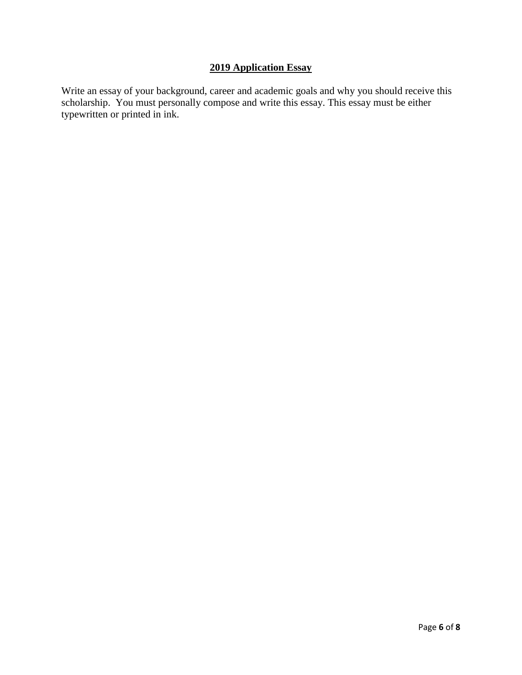# **2019 Application Essay**

Write an essay of your background, career and academic goals and why you should receive this scholarship. You must personally compose and write this essay. This essay must be either typewritten or printed in ink.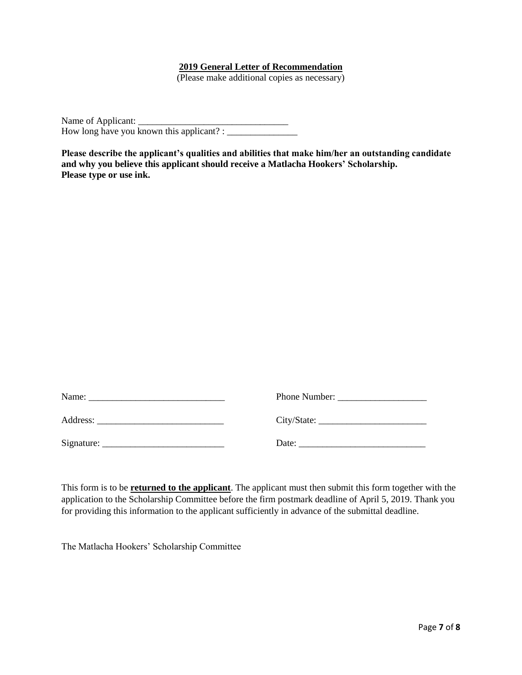### **2019 General Letter of Recommendation**

(Please make additional copies as necessary)

Name of Applicant: \_\_\_\_\_\_\_\_\_\_\_\_\_\_\_\_\_\_\_\_\_\_\_\_\_\_\_\_\_\_\_\_ How long have you known this applicant? :

**Please describe the applicant's qualities and abilities that make him/her an outstanding candidate and why you believe this applicant should receive a Matlacha Hookers' Scholarship. Please type or use ink.**

| Name:      | Phone Number: |
|------------|---------------|
| Address:   | City/State:   |
| Signature: | Date:         |

This form is to be **returned to the applicant**. The applicant must then submit this form together with the application to the Scholarship Committee before the firm postmark deadline of April 5, 2019. Thank you for providing this information to the applicant sufficiently in advance of the submittal deadline.

The Matlacha Hookers' Scholarship Committee